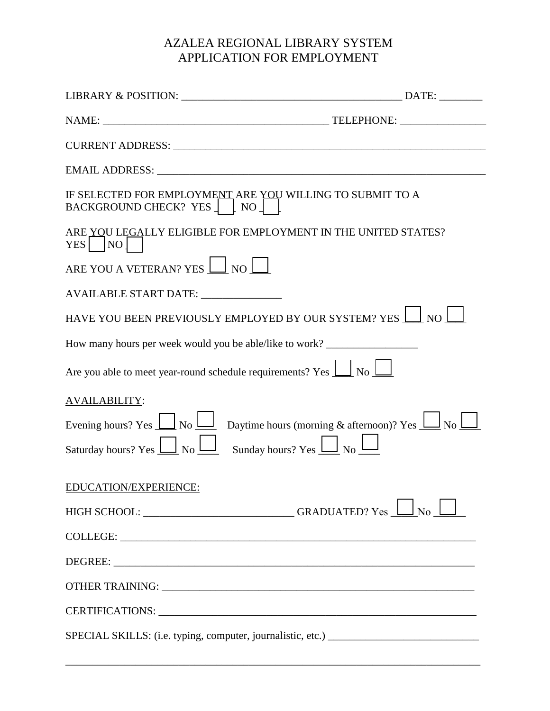## AZALEA REGIONAL LIBRARY SYSTEM APPLICATION FOR EMPLOYMENT

| IF SELECTED FOR EMPLOYMENT ARE YOU WILLING TO SUBMIT TO A<br>BACKGROUND CHECK? YES TNOT                                                                           |  |
|-------------------------------------------------------------------------------------------------------------------------------------------------------------------|--|
| ARE YOU LEGALLY ELIGIBLE FOR EMPLOYMENT IN THE UNITED STATES?<br>$YES$   $NO$                                                                                     |  |
| ARE YOU A VETERAN? YES $\boxed{\underline{\hspace{1cm}}}\$ NO                                                                                                     |  |
| AVAILABLE START DATE: _______________                                                                                                                             |  |
| HAVE YOU BEEN PREVIOUSLY EMPLOYED BY OUR SYSTEM? YES $\Box$ NO                                                                                                    |  |
| How many hours per week would you be able/like to work?                                                                                                           |  |
| Are you able to meet year-round schedule requirements? Yes $\boxed{\underline{\hspace{1cm}}\phantom{1}}$ No $\boxed{\underline{\hspace{1cm}}\phantom{1}}$         |  |
| <b>AVAILABILITY:</b>                                                                                                                                              |  |
| Evening hours? Yes $\underline{\bigsqcup}$ No $\underline{\bigsqcup}$ Daytime hours (morning & afternoon)? Yes $\underline{\bigsqcup}$ No $\underline{\bigsqcup}$ |  |
| Saturday hours? Yes $\underline{\bigsqcup}$ No $\underline{\bigsqcup}$ Sunday hours? Yes $\underline{\bigsqcup}$ No $\underline{\bigsqcup}$                       |  |
| EDUCATION/EXPERIENCE:                                                                                                                                             |  |
| HIGH SCHOOL: _______________________________GRADUATED? Yes $\Box$ No                                                                                              |  |
| COLLEGE: LETTER COLLEGE COLLEGE COLLEGE COLLEGE COLLEGE COLLEGE COLLEGE COLLEGE COLLEGE COLLEGE COLLEGE COLLEGE                                                   |  |
|                                                                                                                                                                   |  |
|                                                                                                                                                                   |  |
|                                                                                                                                                                   |  |
| SPECIAL SKILLS: (i.e. typing, computer, journalistic, etc.) _____________________                                                                                 |  |
|                                                                                                                                                                   |  |